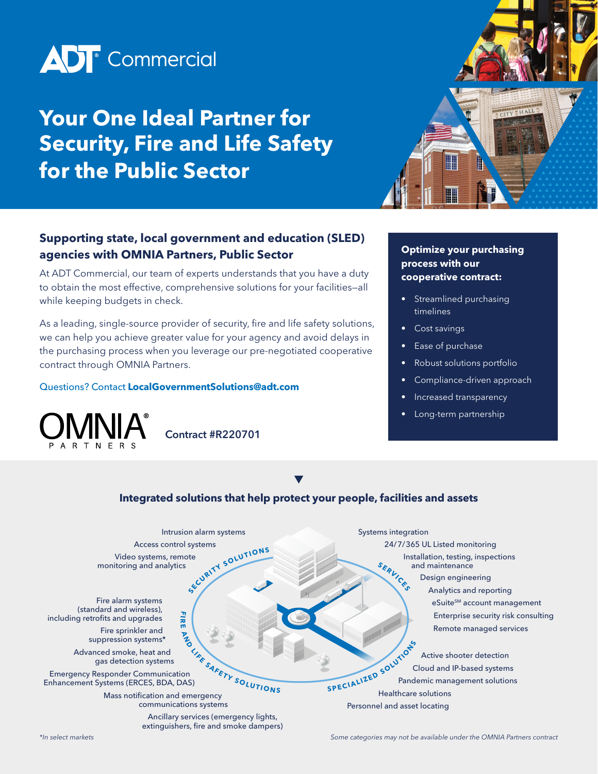

# **Your One Ideal Partner for Security, Fire and Life Safety for the Public Sector**



### **Supporting state, local government and education (SLED) agencies with OMNIA Partners, Public Sector**

At ADT Commercial, our team of experts understands that you have a duty to obtain the most effective, comprehensive solutions for your facilities—all while keeping budgets in check.

As a leading, single-source provider of security, fire and life safety solutions, we can help you achieve greater value for your agency and avoid delays in the purchasing process when you leverage our pre-negotiated cooperative contract through OMNIA Partners.

#### Questions? Contact **[LocalGovernmentSolutions@adt.com](mailto:LocalGovernmentSolutions%40adt.com?subject=)**



Contract #R220701

### **Optimize your purchasing process with our cooperative contract:**

- Streamlined purchasing timelines
- Cost savings
- Ease of purchase
- Robust solutions portfolio
- Compliance-driven approach
- Increased transparency
- Long-term partnership



*\*In select markets Some categories may not be available under the OMNIA Partners contract*